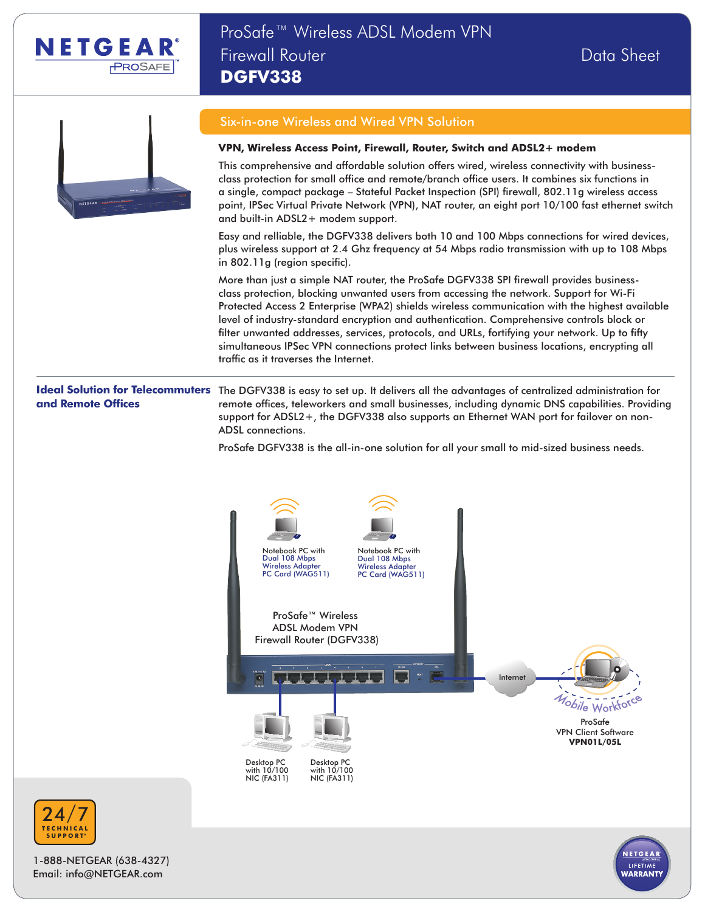



# Six-in-one Wireless and Wired VPN Solution

#### **VPN, Wireless Access Point, Firewall, Router, Switch and ADSL2+ modem**

This comprehensive and affordable solution offers wired, wireless connectivity with businessclass protection for small office and remote/branch office users. It combines six functions in a single, compact package – Stateful Packet Inspection (SPI) firewall, 802.11g wireless access point, IPSec Virtual Private Network (VPN), NAT router, an eight port 10/100 fast ethernet switch and built-in ADSL2+ modem support.

Easy and relliable, the DGFV338 delivers both 10 and 100 Mbps connections for wired devices, plus wireless support at 2.4 Ghz frequency at 54 Mbps radio transmission with up to 108 Mbps in 802.11g (region specific).

More than just a simple NAT router, the ProSafe DGFV338 SPI firewall provides businessclass protection, blocking unwanted users from accessing the network. Support for Wi-Fi Protected Access 2 Enterprise (WPA2) shields wireless communication with the highest available level of industry-standard encryption and authentication. Comprehensive controls block or filter unwanted addresses, services, protocols, and URLs, fortifying your network. Up to fifty simultaneous IPSec VPN connections protect links between business locations, encrypting all traffic as it traverses the Internet.

# **and Remote Offices**

**Ideal Solution for Telecommuters** The DGFV338 is easy to set up. It delivers all the advantages of centralized administration for remote offices, teleworkers and small businesses, including dynamic DNS capabilities. Providing support for ADSL2+, the DGFV338 also supports an Ethernet WAN port for failover on non-ADSL connections.

ProSafe DGFV338 is the all-in-one solution for all your small to mid-sized business needs.





1-888-NETGEAR (638-4327) Email: info@NETGEAR.com